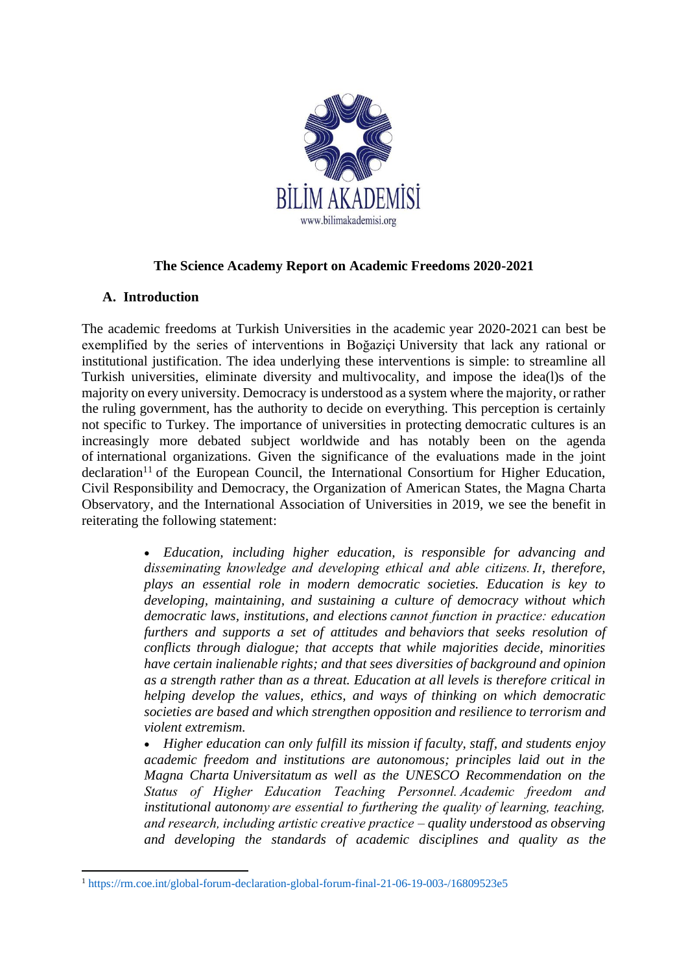

### **The Science Academy Report on Academic Freedoms 2020-2021**

### **A. Introduction**

The academic freedoms at Turkish Universities in the academic year 2020-2021 can best be exemplified by the series of interventions in Boğaziçi University that lack any rational or institutional justification. The idea underlying these interventions is simple: to streamline all Turkish universities, eliminate diversity and multivocality, and impose the idea(l)s of the majority on every university. Democracy is understood as a system where the majority, or rather the ruling government, has the authority to decide on everything. This perception is certainly not specific to Turkey. The importance of universities in protecting democratic cultures is an increasingly more debated subject worldwide and has notably been on the agenda of international organizations. Given the significance of the evaluations made in the joint  $\alpha$ declaration<sup>11</sup> of the European Council, the International Consortium for Higher Education, Civil Responsibility and Democracy, the Organization of American States, the Magna Charta Observatory, and the International Association of Universities in 2019, we see the benefit in reiterating the following statement:

> • *Education, including higher education, is responsible for advancing and disseminating knowledge and developing ethical and able citizens. It, therefore, plays an essential role in modern democratic societies. Education is key to developing, maintaining, and sustaining a culture of democracy without which democratic laws, institutions, and elections cannot function in practice: education furthers and supports a set of attitudes and behaviors that seeks resolution of conflicts through dialogue; that accepts that while majorities decide, minorities have certain inalienable rights; and that sees diversities of background and opinion as a strength rather than as a threat. Education at all levels is therefore critical in helping develop the values, ethics, and ways of thinking on which democratic societies are based and which strengthen opposition and resilience to terrorism and violent extremism.*

> • *Higher education can only fulfill its mission if faculty, staff, and students enjoy academic freedom and institutions are autonomous; principles laid out in the Magna Charta Universitatum as well as the UNESCO Recommendation on the Status of Higher Education Teaching Personnel. Academic freedom and institutional autonomy are essential to furthering the quality of learning, teaching, and research, including artistic creative practice – quality understood as observing and developing the standards of academic disciplines and quality as the*

<sup>1</sup> https://rm.coe.int/global-forum-declaration-global-forum-final-21-06-19-003-/16809523e5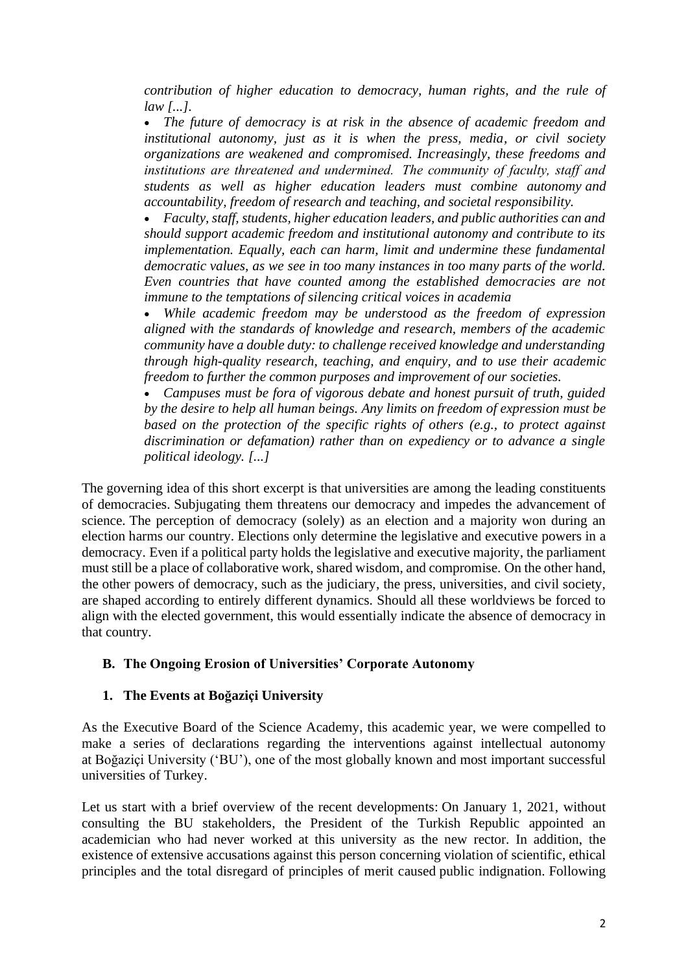*contribution of higher education to democracy, human rights, and the rule of law [...].*

• *The future of democracy is at risk in the absence of academic freedom and institutional autonomy, just as it is when the press, media, or civil society organizations are weakened and compromised. Increasingly, these freedoms and institutions are threatened and undermined.  The community of faculty, staff and students as well as higher education leaders must combine autonomy and accountability, freedom of research and teaching, and societal responsibility.*

• *Faculty, staff, students, higher education leaders, and public authorities can and should support academic freedom and institutional autonomy and contribute to its implementation. Equally, each can harm, limit and undermine these fundamental democratic values, as we see in too many instances in too many parts of the world. Even countries that have counted among the established democracies are not immune to the temptations of silencing critical voices in academia*

• *While academic freedom may be understood as the freedom of expression aligned with the standards of knowledge and research, members of the academic community have a double duty: to challenge received knowledge and understanding through high-quality research, teaching, and enquiry, and to use their academic freedom to further the common purposes and improvement of our societies.*

• *Campuses must be fora of vigorous debate and honest pursuit of truth, guided by the desire to help all human beings. Any limits on freedom of expression must be based on the protection of the specific rights of others (e.g., to protect against discrimination or defamation) rather than on expediency or to advance a single political ideology. [...]*

The governing idea of this short excerpt is that universities are among the leading constituents of democracies. Subjugating them threatens our democracy and impedes the advancement of science. The perception of democracy (solely) as an election and a majority won during an election harms our country. Elections only determine the legislative and executive powers in a democracy. Even if a political party holds the legislative and executive majority, the parliament must still be a place of collaborative work, shared wisdom, and compromise. On the other hand, the other powers of democracy, such as the judiciary, the press, universities, and civil society, are shaped according to entirely different dynamics. Should all these worldviews be forced to align with the elected government, this would essentially indicate the absence of democracy in that country.

### **B. The Ongoing Erosion of Universities' Corporate Autonomy**

### **1. The Events at Boğaziçi University**

As the Executive Board of the Science Academy, this academic year, we were compelled to make a series of declarations regarding the interventions against intellectual autonomy at Boğaziçi University ('BU'), one of the most globally known and most important successful universities of Turkey.

Let us start with a brief overview of the recent developments: On January 1, 2021, without consulting the BU stakeholders, the President of the Turkish Republic appointed an academician who had never worked at this university as the new rector. In addition, the existence of extensive accusations against this person concerning violation of scientific, ethical principles and the total disregard of principles of merit caused public indignation. Following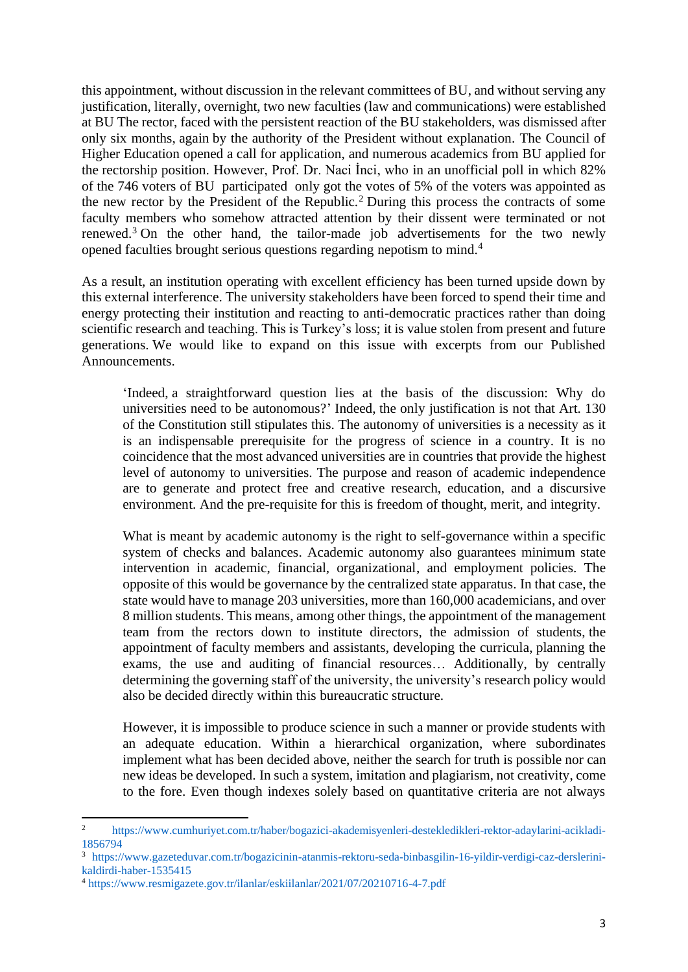this appointment, without discussion in the relevant committees of BU, and without serving any justification, literally, overnight, two new faculties (law and communications) were established at BU The rector, faced with the persistent reaction of the BU stakeholders, was dismissed after only six months, again by the authority of the President without explanation. The Council of Higher Education opened a call for application, and numerous academics from BU applied for the rectorship position. However, Prof. Dr. Naci İnci, who in an unofficial poll in which 82% of the 746 voters of BU participated only got the votes of 5% of the voters was appointed as the new rector by the President of the Republic.<sup>2</sup> During this process the contracts of some faculty members who somehow attracted attention by their dissent were terminated or not renewed.<sup>3</sup> On the other hand, the tailor-made job advertisements for the two newly opened faculties brought serious questions regarding nepotism to mind.<sup>4</sup>

As a result, an institution operating with excellent efficiency has been turned upside down by this external interference. The university stakeholders have been forced to spend their time and energy protecting their institution and reacting to anti-democratic practices rather than doing scientific research and teaching. This is Turkey's loss; it is value stolen from present and future generations. We would like to expand on this issue with excerpts from our Published Announcements.

'Indeed, a straightforward question lies at the basis of the discussion: Why do universities need to be autonomous?' Indeed, the only justification is not that Art. 130 of the Constitution still stipulates this. The autonomy of universities is a necessity as it is an indispensable prerequisite for the progress of science in a country. It is no coincidence that the most advanced universities are in countries that provide the highest level of autonomy to universities. The purpose and reason of academic independence are to generate and protect free and creative research, education, and a discursive environment. And the pre-requisite for this is freedom of thought, merit, and integrity.

What is meant by academic autonomy is the right to self-governance within a specific system of checks and balances. Academic autonomy also guarantees minimum state intervention in academic, financial, organizational, and employment policies. The opposite of this would be governance by the centralized state apparatus. In that case, the state would have to manage 203 universities, more than 160,000 academicians, and over 8 million students. This means, among other things, the appointment of the management team from the rectors down to institute directors, the admission of students, the appointment of faculty members and assistants, developing the curricula, planning the exams, the use and auditing of financial resources… Additionally, by centrally determining the governing staff of the university, the university's research policy would also be decided directly within this bureaucratic structure.

However, it is impossible to produce science in such a manner or provide students with an adequate education. Within a hierarchical organization, where subordinates implement what has been decided above, neither the search for truth is possible nor can new ideas be developed. In such a system, imitation and plagiarism, not creativity, come to the fore. Even though indexes solely based on quantitative criteria are not always

<sup>2</sup> https://www.cumhuriyet.com.tr/haber/bogazici-akademisyenleri-destekledikleri-rektor-adaylarini-acikladi-1856794

<sup>3</sup> https://www.gazeteduvar.com.tr/bogazicinin-atanmis-rektoru-seda-binbasgilin-16-yildir-verdigi-caz-derslerinikaldirdi-haber-1535415

<sup>4</sup> https://www.resmigazete.gov.tr/ilanlar/eskiilanlar/2021/07/20210716-4-7.pdf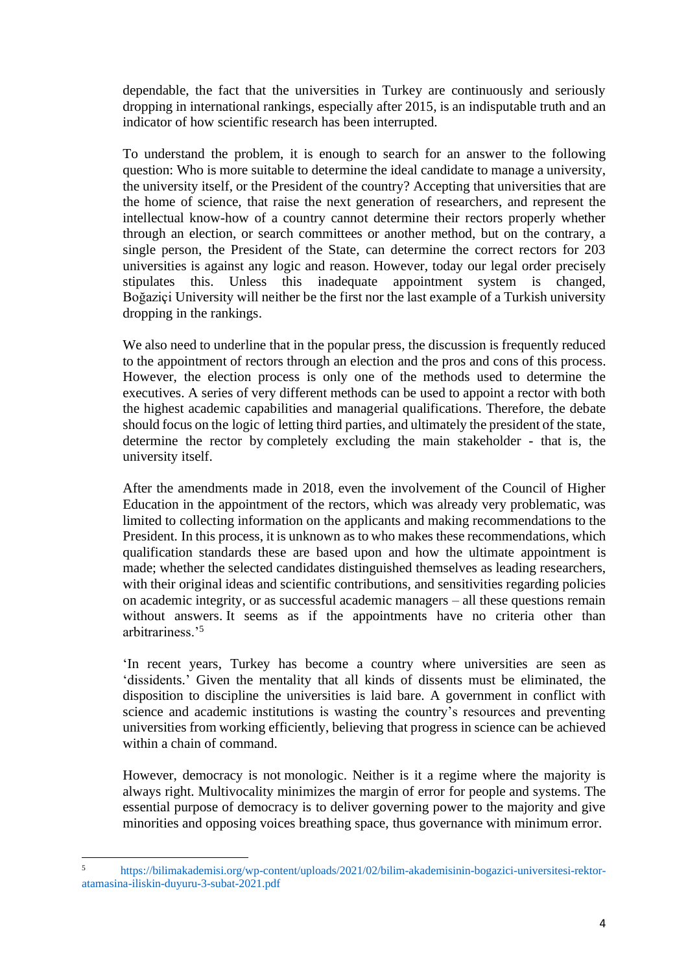dependable, the fact that the universities in Turkey are continuously and seriously dropping in international rankings, especially after 2015, is an indisputable truth and an indicator of how scientific research has been interrupted.

To understand the problem, it is enough to search for an answer to the following question: Who is more suitable to determine the ideal candidate to manage a university, the university itself, or the President of the country? Accepting that universities that are the home of science, that raise the next generation of researchers, and represent the intellectual know-how of a country cannot determine their rectors properly whether through an election, or search committees or another method, but on the contrary, a single person, the President of the State, can determine the correct rectors for 203 universities is against any logic and reason. However, today our legal order precisely stipulates this. Unless this inadequate appointment system is changed, Boğaziçi University will neither be the first nor the last example of a Turkish university dropping in the rankings.

We also need to underline that in the popular press, the discussion is frequently reduced to the appointment of rectors through an election and the pros and cons of this process. However, the election process is only one of the methods used to determine the executives. A series of very different methods can be used to appoint a rector with both the highest academic capabilities and managerial qualifications. Therefore, the debate should focus on the logic of letting third parties, and ultimately the president of the state, determine the rector by completely excluding the main stakeholder - that is, the university itself.

After the amendments made in 2018, even the involvement of the Council of Higher Education in the appointment of the rectors, which was already very problematic, was limited to collecting information on the applicants and making recommendations to the President. In this process, it is unknown as to who makes these recommendations, which qualification standards these are based upon and how the ultimate appointment is made; whether the selected candidates distinguished themselves as leading researchers, with their original ideas and scientific contributions, and sensitivities regarding policies on academic integrity, or as successful academic managers – all these questions remain without answers. It seems as if the appointments have no criteria other than arbitrariness.'<sup>5</sup>

'In recent years, Turkey has become a country where universities are seen as 'dissidents.' Given the mentality that all kinds of dissents must be eliminated, the disposition to discipline the universities is laid bare. A government in conflict with science and academic institutions is wasting the country's resources and preventing universities from working efficiently, believing that progress in science can be achieved within a chain of command.

However, democracy is not monologic. Neither is it a regime where the majority is always right. Multivocality minimizes the margin of error for people and systems. The essential purpose of democracy is to deliver governing power to the majority and give minorities and opposing voices breathing space, thus governance with minimum error.

<sup>5</sup> https://bilimakademisi.org/wp-content/uploads/2021/02/bilim-akademisinin-bogazici-universitesi-rektoratamasina-iliskin-duyuru-3-subat-2021.pdf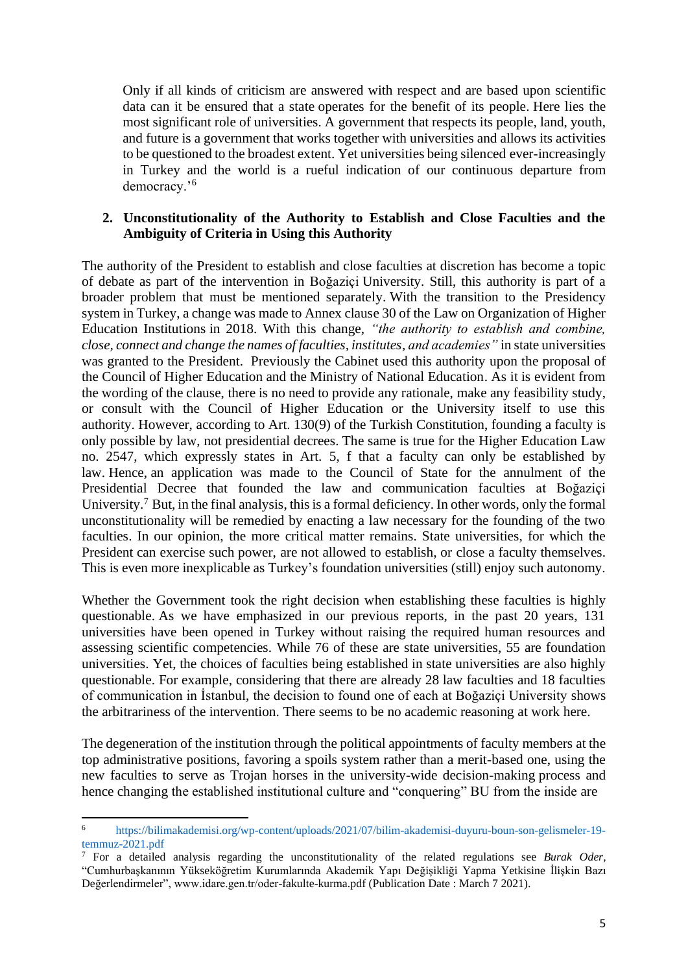Only if all kinds of criticism are answered with respect and are based upon scientific data can it be ensured that a state operates for the benefit of its people. Here lies the most significant role of universities. A government that respects its people, land, youth, and future is a government that works together with universities and allows its activities to be questioned to the broadest extent. Yet universities being silenced ever-increasingly in Turkey and the world is a rueful indication of our continuous departure from democracy.'<sup>6</sup>

#### **2. Unconstitutionality of the Authority to Establish and Close Faculties and the Ambiguity of Criteria in Using this Authority**

The authority of the President to establish and close faculties at discretion has become a topic of debate as part of the intervention in Boğaziçi University. Still, this authority is part of a broader problem that must be mentioned separately. With the transition to the Presidency system in Turkey, a change was made to Annex clause 30 of the Law on Organization of Higher Education Institutions in 2018. With this change, *"the authority to establish and combine, close, connect and change the names of faculties, institutes, and academies"* in state universities was granted to the President. Previously the Cabinet used this authority upon the proposal of the Council of Higher Education and the Ministry of National Education. As it is evident from the wording of the clause, there is no need to provide any rationale, make any feasibility study, or consult with the Council of Higher Education or the University itself to use this authority. However, according to Art. 130(9) of the Turkish Constitution, founding a faculty is only possible by law, not presidential decrees. The same is true for the Higher Education Law no. 2547, which expressly states in Art. 5, f that a faculty can only be established by law. Hence, an application was made to the Council of State for the annulment of the Presidential Decree that founded the law and communication faculties at Boğaziçi University.<sup>7</sup> But, in the final analysis, this is a formal deficiency. In other words, only the formal unconstitutionality will be remedied by enacting a law necessary for the founding of the two faculties. In our opinion, the more critical matter remains. State universities, for which the President can exercise such power, are not allowed to establish, or close a faculty themselves. This is even more inexplicable as Turkey's foundation universities (still) enjoy such autonomy.

Whether the Government took the right decision when establishing these faculties is highly questionable. As we have emphasized in our previous reports, in the past 20 years, 131 universities have been opened in Turkey without raising the required human resources and assessing scientific competencies. While 76 of these are state universities, 55 are foundation universities. Yet, the choices of faculties being established in state universities are also highly questionable. For example, considering that there are already 28 law faculties and 18 faculties of communication in İstanbul, the decision to found one of each at Boğaziçi University shows the arbitrariness of the intervention. There seems to be no academic reasoning at work here.

The degeneration of the institution through the political appointments of faculty members at the top administrative positions, favoring a spoils system rather than a merit-based one, using the new faculties to serve as Trojan horses in the university-wide decision-making process and hence changing the established institutional culture and "conquering" BU from the inside are

<sup>6</sup> https://bilimakademisi.org/wp-content/uploads/2021/07/bilim-akademisi-duyuru-boun-son-gelismeler-19 temmuz-2021.pdf

<sup>7</sup> For a detailed analysis regarding the unconstitutionality of the related regulations see *Burak Oder*, "Cumhurbaşkanının Yükseköğretim Kurumlarında Akademik Yapı Değişikliği Yapma Yetkisine İlişkin Bazı Değerlendirmeler", www.idare.gen.tr/oder-fakulte-kurma.pdf (Publication Date : March 7 2021).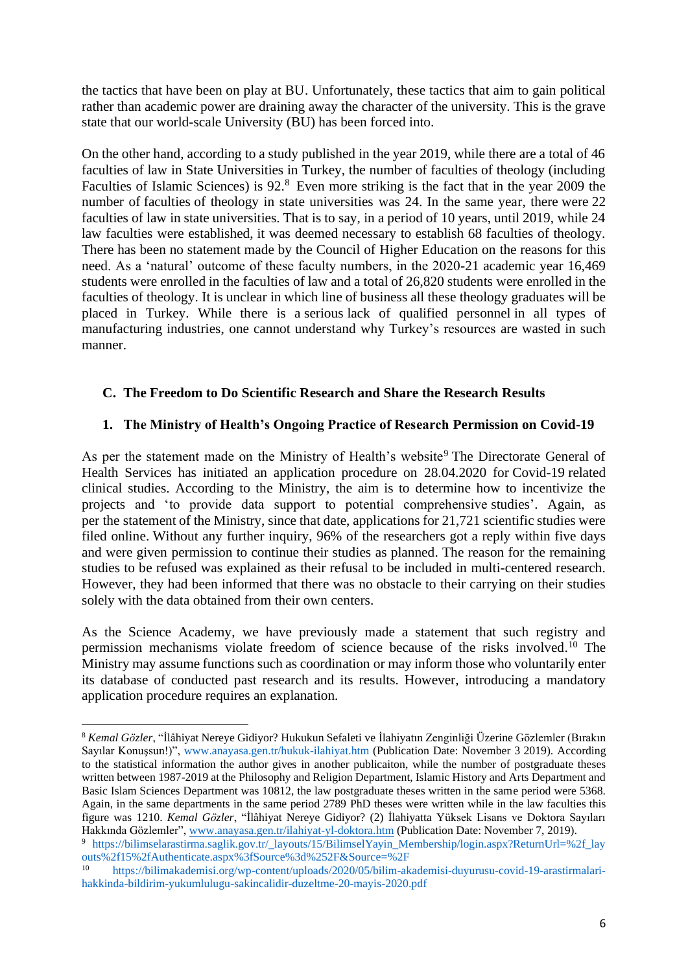the tactics that have been on play at BU. Unfortunately, these tactics that aim to gain political rather than academic power are draining away the character of the university. This is the grave state that our world-scale University (BU) has been forced into.

On the other hand, according to a study published in the year 2019, while there are a total of 46 faculties of law in State Universities in Turkey, the number of faculties of theology (including Faculties of Islamic Sciences) is 92.<sup>8</sup> Even more striking is the fact that in the year 2009 the number of faculties of theology in state universities was 24. In the same year, there were 22 faculties of law in state universities. That is to say, in a period of 10 years, until 2019, while 24 law faculties were established, it was deemed necessary to establish 68 faculties of theology. There has been no statement made by the Council of Higher Education on the reasons for this need. As a 'natural' outcome of these faculty numbers, in the 2020-21 academic year 16,469 students were enrolled in the faculties of law and a total of 26,820 students were enrolled in the faculties of theology. It is unclear in which line of business all these theology graduates will be placed in Turkey. While there is a serious lack of qualified personnel in all types of manufacturing industries, one cannot understand why Turkey's resources are wasted in such manner.

### **C. The Freedom to Do Scientific Research and Share the Research Results**

#### **1. The Ministry of Health's Ongoing Practice of Research Permission on Covid-19**

As per the statement made on the Ministry of Health's website<sup>9</sup> The Directorate General of Health Services has initiated an application procedure on 28.04.2020 for Covid-19 related clinical studies. According to the Ministry, the aim is to determine how to incentivize the projects and 'to provide data support to potential comprehensive studies'. Again, as per the statement of the Ministry, since that date, applications for 21,721 scientific studies were filed online. Without any further inquiry, 96% of the researchers got a reply within five days and were given permission to continue their studies as planned. The reason for the remaining studies to be refused was explained as their refusal to be included in multi-centered research. However, they had been informed that there was no obstacle to their carrying on their studies solely with the data obtained from their own centers.

As the Science Academy, we have previously made a statement that such registry and permission mechanisms violate freedom of science because of the risks involved. <sup>10</sup> The Ministry may assume functions such as coordination or may inform those who voluntarily enter its database of conducted past research and its results. However, introducing a mandatory application procedure requires an explanation.

<sup>8</sup> *Kemal Gözler*, "İlâhiyat Nereye Gidiyor? Hukukun Sefaleti ve İlahiyatın Zenginliği Üzerine Gözlemler (Bırakın Sayılar Konuşsun!)", www.anayasa.gen.tr/hukuk-ilahiyat.htm (Publication Date: November 3 2019). According to the statistical information the author gives in another publicaiton, while the number of postgraduate theses written between 1987-2019 at the Philosophy and Religion Department, Islamic History and Arts Department and Basic Islam Sciences Department was 10812, the law postgraduate theses written in the same period were 5368. Again, in the same departments in the same period 2789 PhD theses were written while in the law faculties this figure was 1210. *Kemal Gözler*, "İlâhiyat Nereye Gidiyor? (2) İlahiyatta Yüksek Lisans ve Doktora Sayıları Hakkında Gözlemler", [www.anayasa.gen.tr/ilahiyat-yl-doktora.htm](http://www.anayasa.gen.tr/ilahiyat-yl-doktora.htm) (Publication Date: November 7, 2019).

<sup>9</sup> https://bilimselarastirma.saglik.gov.tr/\_layouts/15/BilimselYayin\_Membership/login.aspx?ReturnUrl=%2f\_lay outs%2f15%2fAuthenticate.aspx%3fSource%3d%252F&Source=%2F

<sup>10</sup> https://bilimakademisi.org/wp-content/uploads/2020/05/bilim-akademisi-duyurusu-covid-19-arastirmalarihakkinda-bildirim-yukumlulugu-sakincalidir-duzeltme-20-mayis-2020.pdf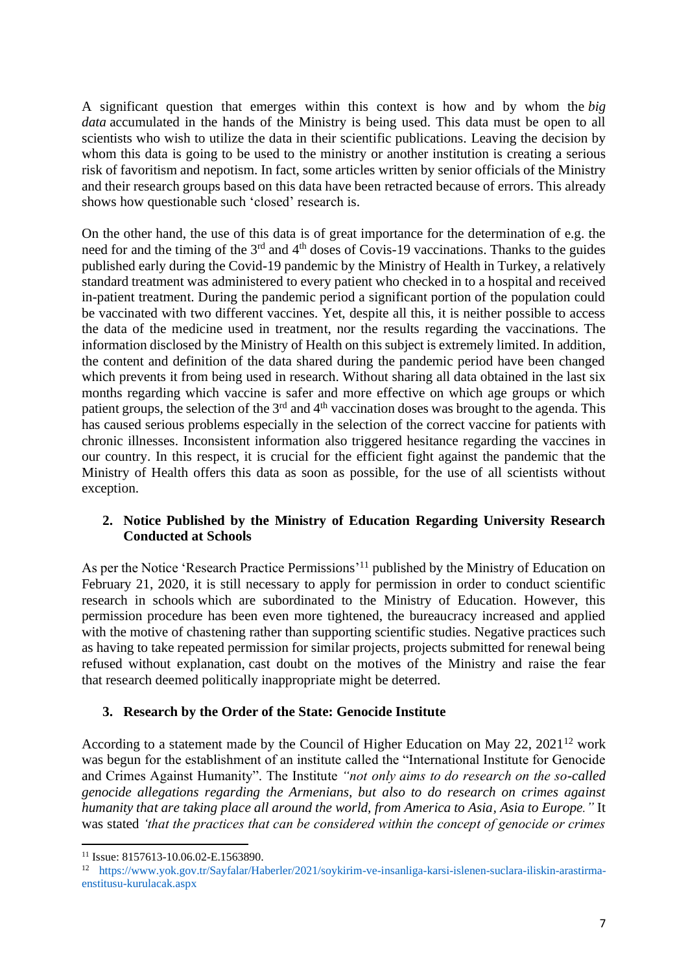A significant question that emerges within this context is how and by whom the *big data* accumulated in the hands of the Ministry is being used. This data must be open to all scientists who wish to utilize the data in their scientific publications. Leaving the decision by whom this data is going to be used to the ministry or another institution is creating a serious risk of favoritism and nepotism. In fact, some articles written by senior officials of the Ministry and their research groups based on this data have been retracted because of errors. This already shows how questionable such 'closed' research is.

On the other hand, the use of this data is of great importance for the determination of e.g. the need for and the timing of the 3<sup>rd</sup> and 4<sup>th</sup> doses of Covis-19 vaccinations. Thanks to the guides published early during the Covid-19 pandemic by the Ministry of Health in Turkey, a relatively standard treatment was administered to every patient who checked in to a hospital and received in-patient treatment. During the pandemic period a significant portion of the population could be vaccinated with two different vaccines. Yet, despite all this, it is neither possible to access the data of the medicine used in treatment, nor the results regarding the vaccinations. The information disclosed by the Ministry of Health on this subject is extremely limited. In addition, the content and definition of the data shared during the pandemic period have been changed which prevents it from being used in research. Without sharing all data obtained in the last six months regarding which vaccine is safer and more effective on which age groups or which patient groups, the selection of the 3<sup>rd</sup> and 4<sup>th</sup> vaccination doses was brought to the agenda. This has caused serious problems especially in the selection of the correct vaccine for patients with chronic illnesses. Inconsistent information also triggered hesitance regarding the vaccines in our country. In this respect, it is crucial for the efficient fight against the pandemic that the Ministry of Health offers this data as soon as possible, for the use of all scientists without exception.

### **2. Notice Published by the Ministry of Education Regarding University Research Conducted at Schools**

As per the Notice 'Research Practice Permissions'<sup>11</sup> published by the Ministry of Education on February 21, 2020, it is still necessary to apply for permission in order to conduct scientific research in schools which are subordinated to the Ministry of Education. However, this permission procedure has been even more tightened, the bureaucracy increased and applied with the motive of chastening rather than supporting scientific studies. Negative practices such as having to take repeated permission for similar projects, projects submitted for renewal being refused without explanation, cast doubt on the motives of the Ministry and raise the fear that research deemed politically inappropriate might be deterred.

### **3. Research by the Order of the State: Genocide Institute**

According to a statement made by the Council of Higher Education on May 22,  $2021^{12}$  work was begun for the establishment of an institute called the "International Institute for Genocide and Crimes Against Humanity". The Institute *"not only aims to do research on the so-called genocide allegations regarding the Armenians, but also to do research on crimes against humanity that are taking place all around the world, from America to Asia, Asia to Europe."* It was stated *'that the practices that can be considered within the concept of genocide or crimes* 

<sup>11</sup> Issue: 8157613-10.06.02-E.1563890.

<sup>12</sup> https://www.yok.gov.tr/Sayfalar/Haberler/2021/soykirim-ve-insanliga-karsi-islenen-suclara-iliskin-arastirmaenstitusu-kurulacak.aspx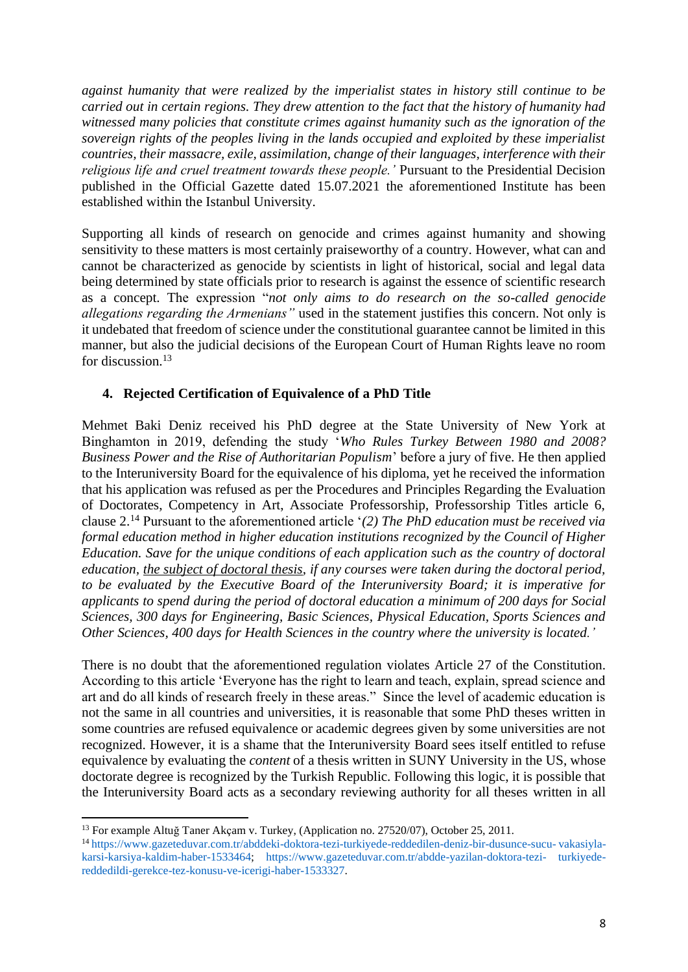*against humanity that were realized by the imperialist states in history still continue to be carried out in certain regions. They drew attention to the fact that the history of humanity had witnessed many policies that constitute crimes against humanity such as the ignoration of the sovereign rights of the peoples living in the lands occupied and exploited by these imperialist countries, their massacre, exile, assimilation, change of their languages, interference with their religious life and cruel treatment towards these people.'* Pursuant to the Presidential Decision published in the Official Gazette dated 15.07.2021 the aforementioned Institute has been established within the Istanbul University.

Supporting all kinds of research on genocide and crimes against humanity and showing sensitivity to these matters is most certainly praiseworthy of a country. However, what can and cannot be characterized as genocide by scientists in light of historical, social and legal data being determined by state officials prior to research is against the essence of scientific research as a concept. The expression "*not only aims to do research on the so-called genocide allegations regarding the Armenians"* used in the statement justifies this concern. Not only is it undebated that freedom of science under the constitutional guarantee cannot be limited in this manner, but also the judicial decisions of the European Court of Human Rights leave no room for discussion. 13

### **4. Rejected Certification of Equivalence of a PhD Title**

Mehmet Baki Deniz received his PhD degree at the State University of New York at Binghamton in 2019, defending the study '*Who Rules Turkey Between 1980 and 2008? Business Power and the Rise of Authoritarian Populism*' before a jury of five. He then applied to the Interuniversity Board for the equivalence of his diploma, yet he received the information that his application was refused as per the Procedures and Principles Regarding the Evaluation of Doctorates, Competency in Art, Associate Professorship, Professorship Titles article 6, clause 2.<sup>14</sup> Pursuant to the aforementioned article '*(2) The PhD education must be received via formal education method in higher education institutions recognized by the Council of Higher Education. Save for the unique conditions of each application such as the country of doctoral education, the subject of doctoral thesis, if any courses were taken during the doctoral period, to be evaluated by the Executive Board of the Interuniversity Board; it is imperative for applicants to spend during the period of doctoral education a minimum of 200 days for Social Sciences, 300 days for Engineering, Basic Sciences, Physical Education, Sports Sciences and Other Sciences, 400 days for Health Sciences in the country where the university is located.'*

There is no doubt that the aforementioned regulation violates Article 27 of the Constitution. According to this article 'Everyone has the right to learn and teach, explain, spread science and art and do all kinds of research freely in these areas." Since the level of academic education is not the same in all countries and universities, it is reasonable that some PhD theses written in some countries are refused equivalence or academic degrees given by some universities are not recognized. However, it is a shame that the Interuniversity Board sees itself entitled to refuse equivalence by evaluating the *content* of a thesis written in SUNY University in the US, whose doctorate degree is recognized by the Turkish Republic. Following this logic, it is possible that the Interuniversity Board acts as a secondary reviewing authority for all theses written in all

<sup>&</sup>lt;sup>13</sup> For example Altuğ Taner Akçam v. Turkey, (Application no. 27520/07), October 25, 2011.

<sup>14</sup> https://www.gazeteduvar.com.tr/abddeki-doktora-tezi-turkiyede-reddedilen-deniz-bir-dusunce-sucu- vakasiylakarsi-karsiya-kaldim-haber-1533464; https://www.gazeteduvar.com.tr/abdde-yazilan-doktora-tezi- turkiyedereddedildi-gerekce-tez-konusu-ve-icerigi-haber-1533327.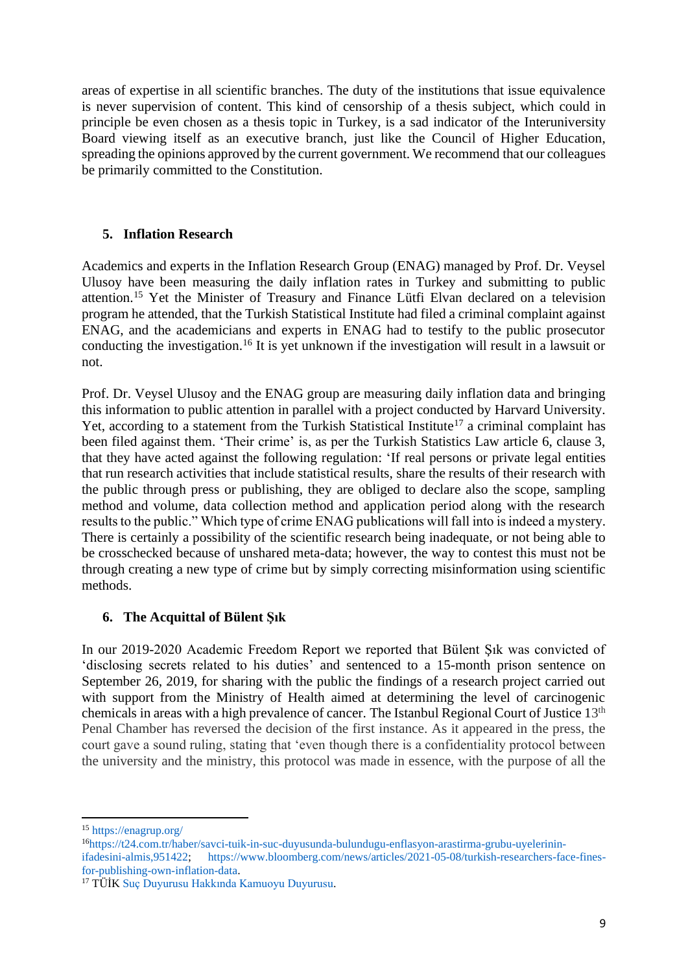areas of expertise in all scientific branches. The duty of the institutions that issue equivalence is never supervision of content. This kind of censorship of a thesis subject, which could in principle be even chosen as a thesis topic in Turkey, is a sad indicator of the Interuniversity Board viewing itself as an executive branch, just like the Council of Higher Education, spreading the opinions approved by the current government. We recommend that our colleagues be primarily committed to the Constitution.

### **5. Inflation Research**

Academics and experts in the Inflation Research Group (ENAG) managed by Prof. Dr. Veysel Ulusoy have been measuring the daily inflation rates in Turkey and submitting to public attention.<sup>15</sup> Yet the Minister of Treasury and Finance Lütfi Elvan declared on a television program he attended, that the Turkish Statistical Institute had filed a criminal complaint against ENAG, and the academicians and experts in ENAG had to testify to the public prosecutor conducting the investigation.<sup>16</sup> It is yet unknown if the investigation will result in a lawsuit or not.

Prof. Dr. Veysel Ulusoy and the ENAG group are measuring daily inflation data and bringing this information to public attention in parallel with a project conducted by Harvard University. Yet, according to a statement from the Turkish Statistical Institute<sup>17</sup> a criminal complaint has been filed against them. 'Their crime' is, as per the Turkish Statistics Law article 6, clause 3, that they have acted against the following regulation: 'If real persons or private legal entities that run research activities that include statistical results, share the results of their research with the public through press or publishing, they are obliged to declare also the scope, sampling method and volume, data collection method and application period along with the research results to the public." Which type of crime ENAG publications will fall into is indeed a mystery. There is certainly a possibility of the scientific research being inadequate, or not being able to be crosschecked because of unshared meta-data; however, the way to contest this must not be through creating a new type of crime but by simply correcting misinformation using scientific methods.

### **6. The Acquittal of Bülent Şık**

In our 2019-2020 Academic Freedom Report we reported that Bülent Şık was convicted of 'disclosing secrets related to his duties' and sentenced to a 15-month prison sentence on September 26, 2019, for sharing with the public the findings of a research project carried out with support from the Ministry of Health aimed at determining the level of carcinogenic chemicals in areas with a high prevalence of cancer. The Istanbul Regional Court of Justice 13<sup>th</sup> Penal Chamber has reversed the decision of the first instance. As it appeared in the press, the court gave a sound ruling, stating that 'even though there is a confidentiality protocol between the university and the ministry, this protocol was made in essence, with the purpose of all the

<sup>15</sup> https://enagrup.org/

<sup>16</sup>https://t24.com.tr/haber/savci-tuik-in-suc-duyusunda-bulundugu-enflasyon-arastirma-grubu-uyelerininifadesini-almis,951422; https://www.bloomberg.com/news/articles/2021-05-08/turkish-researchers-face-finesfor-publishing-own-inflation-data.

<sup>17</sup> TÜİK Suç Duyurusu Hakkında Kamuoyu Duyurusu.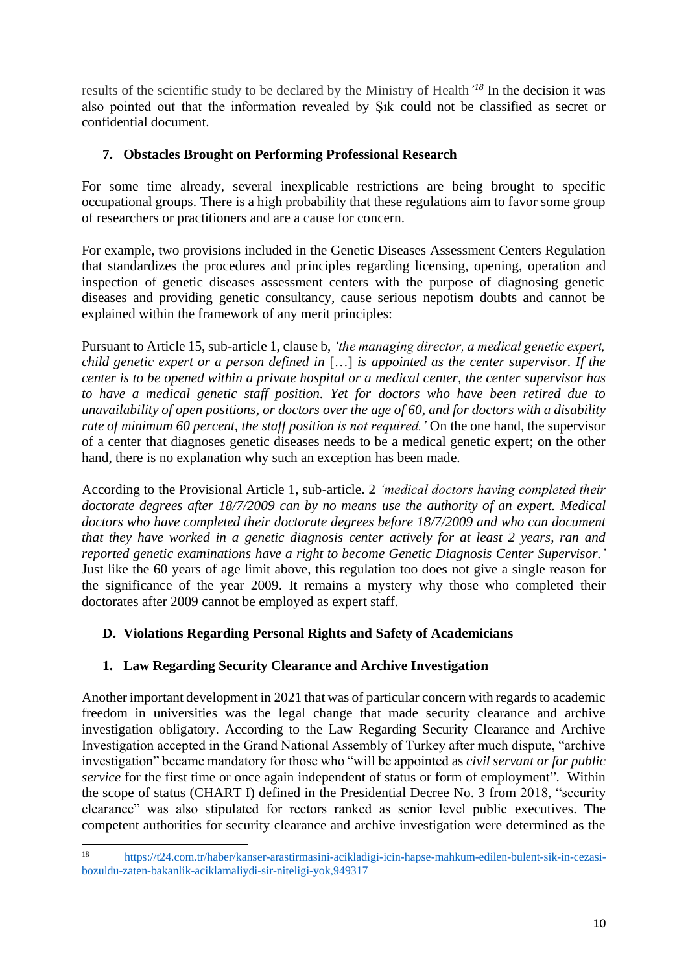results of the scientific study to be declared by the Ministry of Health*' <sup>18</sup>* In the decision it was also pointed out that the information revealed by Şık could not be classified as secret or confidential document.

## **7. Obstacles Brought on Performing Professional Research**

For some time already, several inexplicable restrictions are being brought to specific occupational groups. There is a high probability that these regulations aim to favor some group of researchers or practitioners and are a cause for concern.

For example, two provisions included in the Genetic Diseases Assessment Centers Regulation that standardizes the procedures and principles regarding licensing, opening, operation and inspection of genetic diseases assessment centers with the purpose of diagnosing genetic diseases and providing genetic consultancy, cause serious nepotism doubts and cannot be explained within the framework of any merit principles:

Pursuant to Article 15, sub-article 1, clause b, *'the managing director, a medical genetic expert, child genetic expert or a person defined in* […] *is appointed as the center supervisor. If the center is to be opened within a private hospital or a medical center, the center supervisor has to have a medical genetic staff position. Yet for doctors who have been retired due to unavailability of open positions, or doctors over the age of 60, and for doctors with a disability rate of minimum 60 percent, the staff position is not required.'* On the one hand, the supervisor of a center that diagnoses genetic diseases needs to be a medical genetic expert; on the other hand, there is no explanation why such an exception has been made.

According to the Provisional Article 1, sub-article. 2 *'medical doctors having completed their doctorate degrees after 18/7/2009 can by no means use the authority of an expert. Medical doctors who have completed their doctorate degrees before 18/7/2009 and who can document that they have worked in a genetic diagnosis center actively for at least 2 years, ran and reported genetic examinations have a right to become Genetic Diagnosis Center Supervisor.'* Just like the 60 years of age limit above, this regulation too does not give a single reason for the significance of the year 2009. It remains a mystery why those who completed their doctorates after 2009 cannot be employed as expert staff.

# **D. Violations Regarding Personal Rights and Safety of Academicians**

# **1. Law Regarding Security Clearance and Archive Investigation**

Another important development in 2021 that was of particular concern with regards to academic freedom in universities was the legal change that made security clearance and archive investigation obligatory. According to the Law Regarding Security Clearance and Archive Investigation accepted in the Grand National Assembly of Turkey after much dispute, "archive investigation" became mandatory for those who "will be appointed as *civil servant or for public service* for the first time or once again independent of status or form of employment". Within the scope of status (CHART I) defined in the Presidential Decree No. 3 from 2018, "security clearance" was also stipulated for rectors ranked as senior level public executives. The competent authorities for security clearance and archive investigation were determined as the

<sup>18</sup> https://t24.com.tr/haber/kanser-arastirmasini-acikladigi-icin-hapse-mahkum-edilen-bulent-sik-in-cezasibozuldu-zaten-bakanlik-aciklamaliydi-sir-niteligi-yok,949317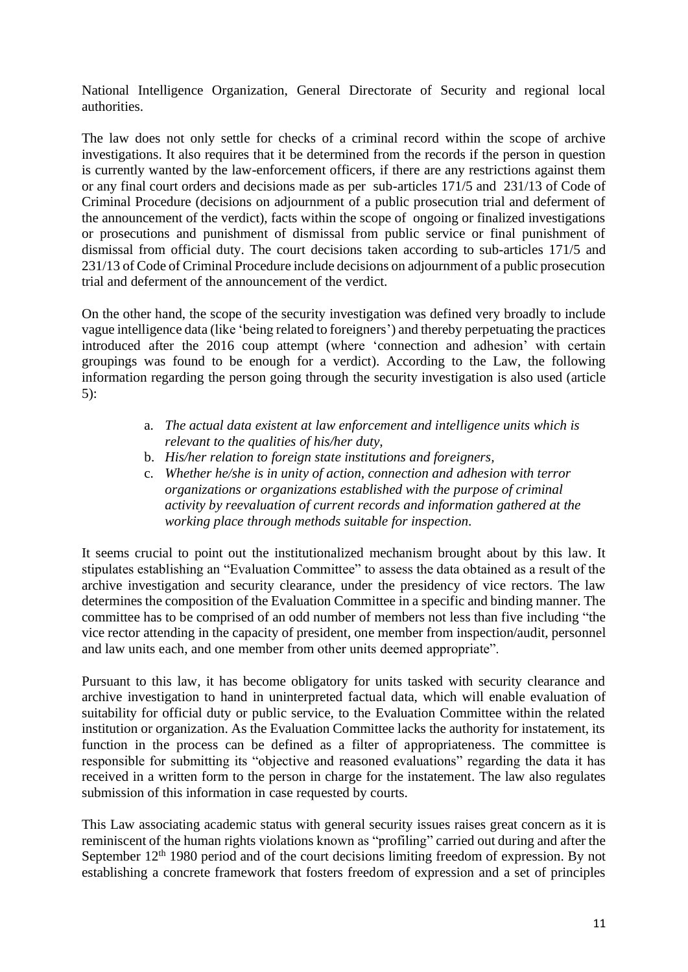National Intelligence Organization, General Directorate of Security and regional local authorities.

The law does not only settle for checks of a criminal record within the scope of archive investigations. It also requires that it be determined from the records if the person in question is currently wanted by the law-enforcement officers, if there are any restrictions against them or any final court orders and decisions made as per sub-articles 171/5 and 231/13 of Code of Criminal Procedure (decisions on adjournment of a public prosecution trial and deferment of the announcement of the verdict), facts within the scope of ongoing or finalized investigations or prosecutions and punishment of dismissal from public service or final punishment of dismissal from official duty. The court decisions taken according to sub-articles 171/5 and 231/13 of Code of Criminal Procedure include decisions on adjournment of a public prosecution trial and deferment of the announcement of the verdict.

On the other hand, the scope of the security investigation was defined very broadly to include vague intelligence data (like 'being related to foreigners') and thereby perpetuating the practices introduced after the 2016 coup attempt (where 'connection and adhesion' with certain groupings was found to be enough for a verdict). According to the Law, the following information regarding the person going through the security investigation is also used (article 5):

- a. *The actual data existent at law enforcement and intelligence units which is relevant to the qualities of his/her duty,*
- b. *His/her relation to foreign state institutions and foreigners,*
- c. *Whether he/she is in unity of action, connection and adhesion with terror organizations or organizations established with the purpose of criminal activity by reevaluation of current records and information gathered at the working place through methods suitable for inspection.*

It seems crucial to point out the institutionalized mechanism brought about by this law. It stipulates establishing an "Evaluation Committee" to assess the data obtained as a result of the archive investigation and security clearance, under the presidency of vice rectors. The law determines the composition of the Evaluation Committee in a specific and binding manner. The committee has to be comprised of an odd number of members not less than five including "the vice rector attending in the capacity of president, one member from inspection/audit, personnel and law units each, and one member from other units deemed appropriate".

Pursuant to this law, it has become obligatory for units tasked with security clearance and archive investigation to hand in uninterpreted factual data, which will enable evaluation of suitability for official duty or public service, to the Evaluation Committee within the related institution or organization. As the Evaluation Committee lacks the authority for instatement, its function in the process can be defined as a filter of appropriateness. The committee is responsible for submitting its "objective and reasoned evaluations" regarding the data it has received in a written form to the person in charge for the instatement. The law also regulates submission of this information in case requested by courts.

This Law associating academic status with general security issues raises great concern as it is reminiscent of the human rights violations known as "profiling" carried out during and after the September  $12<sup>th</sup> 1980$  period and of the court decisions limiting freedom of expression. By not establishing a concrete framework that fosters freedom of expression and a set of principles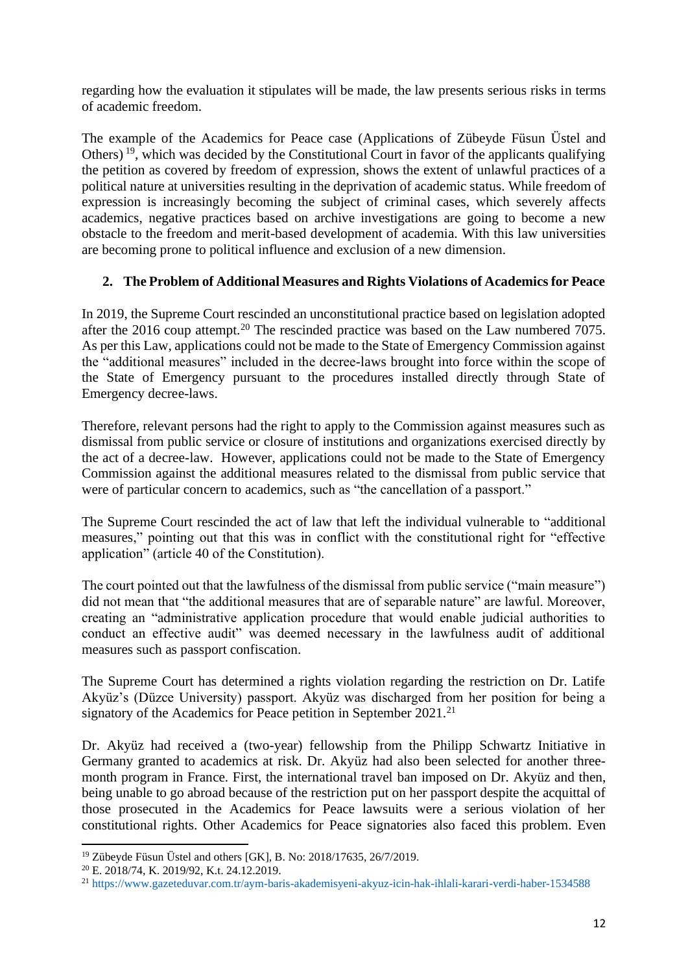regarding how the evaluation it stipulates will be made, the law presents serious risks in terms of academic freedom.

The example of the Academics for Peace case (Applications of Zübeyde Füsun Üstel and Others) <sup>19</sup>, which was decided by the Constitutional Court in favor of the applicants qualifying the petition as covered by freedom of expression, shows the extent of unlawful practices of a political nature at universities resulting in the deprivation of academic status. While freedom of expression is increasingly becoming the subject of criminal cases, which severely affects academics, negative practices based on archive investigations are going to become a new obstacle to the freedom and merit-based development of academia. With this law universities are becoming prone to political influence and exclusion of a new dimension.

### **2. The Problem of Additional Measures and Rights Violations of Academics for Peace**

In 2019, the Supreme Court rescinded an unconstitutional practice based on legislation adopted after the 2016 coup attempt.<sup>20</sup> The rescinded practice was based on the Law numbered 7075. As per this Law, applications could not be made to the State of Emergency Commission against the "additional measures" included in the decree-laws brought into force within the scope of the State of Emergency pursuant to the procedures installed directly through State of Emergency decree-laws.

Therefore, relevant persons had the right to apply to the Commission against measures such as dismissal from public service or closure of institutions and organizations exercised directly by the act of a decree-law. However, applications could not be made to the State of Emergency Commission against the additional measures related to the dismissal from public service that were of particular concern to academics, such as "the cancellation of a passport."

The Supreme Court rescinded the act of law that left the individual vulnerable to "additional measures," pointing out that this was in conflict with the constitutional right for "effective application" (article 40 of the Constitution).

The court pointed out that the lawfulness of the dismissal from public service ("main measure") did not mean that "the additional measures that are of separable nature" are lawful. Moreover, creating an "administrative application procedure that would enable judicial authorities to conduct an effective audit" was deemed necessary in the lawfulness audit of additional measures such as passport confiscation.

The Supreme Court has determined a rights violation regarding the restriction on Dr. Latife Akyüz's (Düzce University) passport. Akyüz was discharged from her position for being a signatory of the Academics for Peace petition in September 2021.<sup>21</sup>

Dr. Akyüz had received a (two-year) fellowship from the Philipp Schwartz Initiative in Germany granted to academics at risk. Dr. Akyüz had also been selected for another threemonth program in France. First, the international travel ban imposed on Dr. Akyüz and then, being unable to go abroad because of the restriction put on her passport despite the acquittal of those prosecuted in the Academics for Peace lawsuits were a serious violation of her constitutional rights. Other Academics for Peace signatories also faced this problem. Even

<sup>19</sup> Zübeyde Füsun Üstel and others [GK], B. No: 2018/17635, 26/7/2019.

<sup>20</sup> E. 2018/74, K. 2019/92, K.t. 24.12.2019.

<sup>21</sup> https://www.gazeteduvar.com.tr/aym-baris-akademisyeni-akyuz-icin-hak-ihlali-karari-verdi-haber-1534588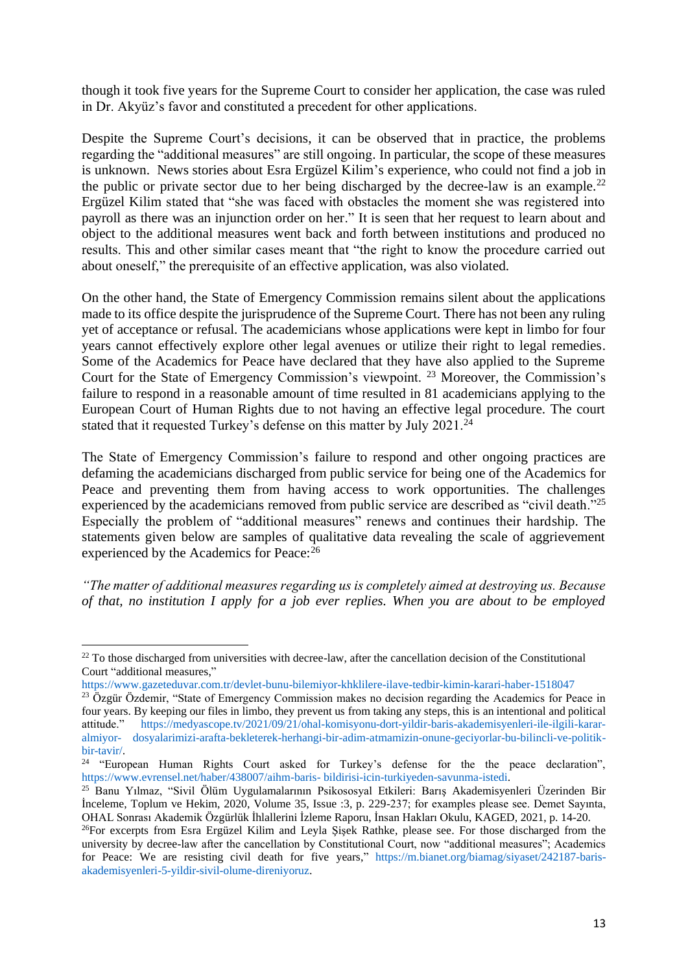though it took five years for the Supreme Court to consider her application, the case was ruled in Dr. Akyüz's favor and constituted a precedent for other applications.

Despite the Supreme Court's decisions, it can be observed that in practice, the problems regarding the "additional measures" are still ongoing. In particular, the scope of these measures is unknown. News stories about Esra Ergüzel Kilim's experience, who could not find a job in the public or private sector due to her being discharged by the decree-law is an example.<sup>22</sup> Ergüzel Kilim stated that "she was faced with obstacles the moment she was registered into payroll as there was an injunction order on her." It is seen that her request to learn about and object to the additional measures went back and forth between institutions and produced no results. This and other similar cases meant that "the right to know the procedure carried out about oneself," the prerequisite of an effective application, was also violated.

On the other hand, the State of Emergency Commission remains silent about the applications made to its office despite the jurisprudence of the Supreme Court. There has not been any ruling yet of acceptance or refusal. The academicians whose applications were kept in limbo for four years cannot effectively explore other legal avenues or utilize their right to legal remedies. Some of the Academics for Peace have declared that they have also applied to the Supreme Court for the State of Emergency Commission's viewpoint. <sup>23</sup> Moreover, the Commission's failure to respond in a reasonable amount of time resulted in 81 academicians applying to the European Court of Human Rights due to not having an effective legal procedure. The court stated that it requested Turkey's defense on this matter by July 2021.<sup>24</sup>

The State of Emergency Commission's failure to respond and other ongoing practices are defaming the academicians discharged from public service for being one of the Academics for Peace and preventing them from having access to work opportunities. The challenges experienced by the academicians removed from public service are described as "civil death."<sup>25</sup> Especially the problem of "additional measures" renews and continues their hardship. The statements given below are samples of qualitative data revealing the scale of aggrievement experienced by the Academics for Peace:<sup>26</sup>

*"The matter of additional measures regarding us is completely aimed at destroying us. Because of that, no institution I apply for a job ever replies. When you are about to be employed* 

 $22$  To those discharged from universities with decree-law, after the cancellation decision of the Constitutional Court "additional measures,"

https://www.gazeteduvar.com.tr/devlet-bunu-bilemiyor-khklilere-ilave-tedbir-kimin-karari-haber-1518047

<sup>&</sup>lt;sup>23</sup> Özgür Özdemir, "State of Emergency Commission makes no decision regarding the Academics for Peace in four years. By keeping our files in limbo, they prevent us from taking any steps, this is an intentional and political attitude." https://medyascope.tv/2021/09/21/ohal-komisyonu-dort-yildir-baris-akademisyenleri-ile-ilgili-kararalmiyor- dosyalarimizi-arafta-bekleterek-herhangi-bir-adim-atmamizin-onune-geciyorlar-bu-bilincli-ve-politikbir-tavir/.

<sup>&</sup>lt;sup>24</sup> "European Human Rights Court asked for Turkey's defense for the the peace declaration", https://www.evrensel.net/haber/438007/aihm-baris- bildirisi-icin-turkiyeden-savunma-istedi.

<sup>25</sup> Banu Yılmaz, "Sivil Ölüm Uygulamalarının Psikososyal Etkileri: Barış Akademisyenleri Üzerinden Bir İnceleme, Toplum ve Hekim, 2020, Volume 35, Issue :3, p. 229-237; for examples please see. Demet Sayınta, OHAL Sonrası Akademik Özgürlük İhlallerini İzleme Raporu, İnsan Hakları Okulu, KAGED, 2021, p. 14-20.

<sup>&</sup>lt;sup>26</sup>For excerpts from Esra Ergüzel Kilim and Leyla Şişek Rathke, please see. For those discharged from the university by decree-law after the cancellation by Constitutional Court, now "additional measures"; Academics for Peace: We are resisting civil death for five years," https://m.bianet.org/biamag/siyaset/242187-barisakademisyenleri-5-yildir-sivil-olume-direniyoruz.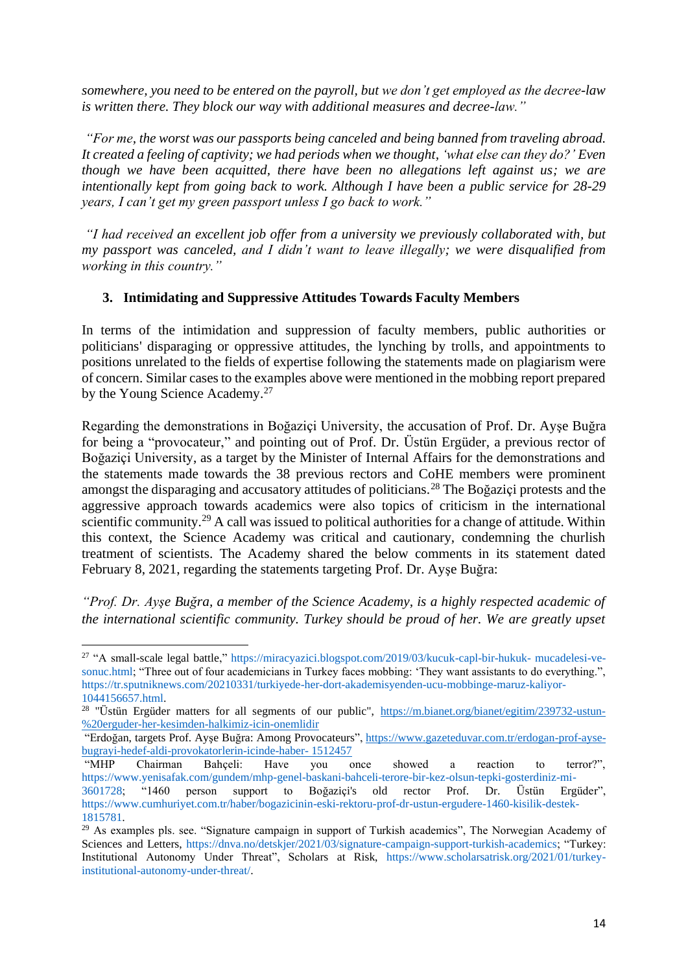*somewhere, you need to be entered on the payroll, but we don't get employed as the decree-law is written there. They block our way with additional measures and decree-law."*

*"For me, the worst was our passports being canceled and being banned from traveling abroad. It created a feeling of captivity; we had periods when we thought, 'what else can they do?' Even though we have been acquitted, there have been no allegations left against us; we are intentionally kept from going back to work. Although I have been a public service for 28-29 years, I can't get my green passport unless I go back to work."*

*"I had received an excellent job offer from a university we previously collaborated with, but my passport was canceled, and I didn't want to leave illegally; we were disqualified from working in this country."*

#### **3. Intimidating and Suppressive Attitudes Towards Faculty Members**

In terms of the intimidation and suppression of faculty members, public authorities or politicians' disparaging or oppressive attitudes, the lynching by trolls, and appointments to positions unrelated to the fields of expertise following the statements made on plagiarism were of concern. Similar cases to the examples above were mentioned in the mobbing report prepared by the Young Science Academy.<sup>27</sup>

Regarding the demonstrations in Boğaziçi University, the accusation of Prof. Dr. Ayşe Buğra for being a "provocateur," and pointing out of Prof. Dr. Üstün Ergüder, a previous rector of Boğaziçi University, as a target by the Minister of Internal Affairs for the demonstrations and the statements made towards the 38 previous rectors and CoHE members were prominent amongst the disparaging and accusatory attitudes of politicians.<sup>28</sup> The Boğaziçi protests and the aggressive approach towards academics were also topics of criticism in the international scientific community.<sup>29</sup> A call was issued to political authorities for a change of attitude. Within this context, the Science Academy was critical and cautionary, condemning the churlish treatment of scientists. The Academy shared the below comments in its statement dated February 8, 2021, regarding the statements targeting Prof. Dr. Ayşe Buğra:

*"Prof. Dr. Ayşe Buğra, a member of the Science Academy, is a highly respected academic of the international scientific community. Turkey should be proud of her. We are greatly upset* 

<sup>27</sup> "A small-scale legal battle," https://miracyazici.blogspot.com/2019/03/kucuk-capl-bir-hukuk- mucadelesi-vesonuc.html; "Three out of four academicians in Turkey faces mobbing: 'They want assistants to do everything.", https://tr.sputniknews.com/20210331/turkiyede-her-dort-akademisyenden-ucu-mobbinge-maruz-kaliyor-1044156657.html.

<sup>&</sup>lt;sup>28</sup> "Üstün Ergüder matters for all segments of our public", [https://m.bianet.org/bianet/egitim/239732-ustun-](https://m.bianet.org/bianet/egitim/239732-ustun-%20erguder-her-kesimden-halkimiz-icin-onemlidir) [%20erguder-her-kesimden-halkimiz-icin-onemlidir](https://m.bianet.org/bianet/egitim/239732-ustun-%20erguder-her-kesimden-halkimiz-icin-onemlidir)

<sup>&</sup>quot;Erdoğan, targets Prof. Ayşe Buğra: Among Provocateurs"[, https://www.gazeteduvar.com.tr/erdogan-prof-ayse](https://www.gazeteduvar.com.tr/erdogan-prof-ayse-bugrayi-hedef-aldi-provokatorlerin-icinde-haber-%201512457)[bugrayi-hedef-aldi-provokatorlerin-icinde-haber-](https://www.gazeteduvar.com.tr/erdogan-prof-ayse-bugrayi-hedef-aldi-provokatorlerin-icinde-haber-%201512457) 1512457

<sup>&</sup>quot;MHP Chairman Bahçeli: Have you once showed a reaction to terror?", https://www.yenisafak.com/gundem/mhp-genel-baskani-bahceli-terore-bir-kez-olsun-tepki-gosterdiniz-mi-3601728; "1460 person support to Boğaziçi's old rector Prof. Dr. Üstün Ergüder", https://www.cumhuriyet.com.tr/haber/bogazicinin-eski-rektoru-prof-dr-ustun-ergudere-1460-kisilik-destek-1815781.

<sup>&</sup>lt;sup>29</sup> As examples pls. see. "Signature campaign in support of Turkish academics", The Norwegian Academy of Sciences and Letters, https://dnva.no/detskjer/2021/03/signature-campaign-support-turkish-academics; "Turkey: Institutional Autonomy Under Threat", Scholars at Risk, https://www.scholarsatrisk.org/2021/01/turkeyinstitutional-autonomy-under-threat/.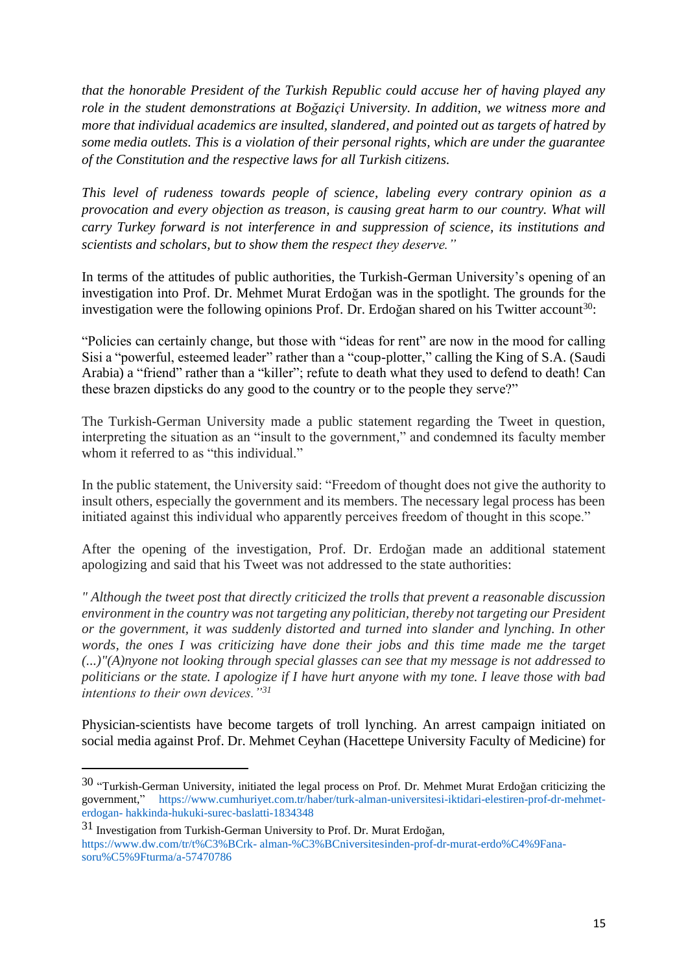*that the honorable President of the Turkish Republic could accuse her of having played any role in the student demonstrations at Boğaziçi University. In addition, we witness more and more that individual academics are insulted, slandered, and pointed out as targets of hatred by some media outlets. This is a violation of their personal rights, which are under the guarantee of the Constitution and the respective laws for all Turkish citizens.*

*This level of rudeness towards people of science, labeling every contrary opinion as a provocation and every objection as treason, is causing great harm to our country. What will carry Turkey forward is not interference in and suppression of science, its institutions and scientists and scholars, but to show them the respect they deserve."* 

In terms of the attitudes of public authorities, the Turkish-German University's opening of an investigation into Prof. Dr. Mehmet Murat Erdoğan was in the spotlight. The grounds for the investigation were the following opinions Prof. Dr. Erdoğan shared on his Twitter account<sup>30</sup>:

"Policies can certainly change, but those with "ideas for rent" are now in the mood for calling Sisi a "powerful, esteemed leader" rather than a "coup-plotter," calling the King of S.A. (Saudi Arabia) a "friend" rather than a "killer"; refute to death what they used to defend to death! Can these brazen dipsticks do any good to the country or to the people they serve?"

The Turkish-German University made a public statement regarding the Tweet in question, interpreting the situation as an "insult to the government," and condemned its faculty member whom it referred to as "this individual."

In the public statement, the University said: "Freedom of thought does not give the authority to insult others, especially the government and its members. The necessary legal process has been initiated against this individual who apparently perceives freedom of thought in this scope."

After the opening of the investigation, Prof. Dr. Erdoğan made an additional statement apologizing and said that his Tweet was not addressed to the state authorities:

*" Although the tweet post that directly criticized the trolls that prevent a reasonable discussion environment in the country was not targeting any politician, thereby not targeting our President or the government, it was suddenly distorted and turned into slander and lynching. In other words, the ones I was criticizing have done their jobs and this time made me the target (...)"(A)nyone not looking through special glasses can see that my message is not addressed to politicians or the state. I apologize if I have hurt anyone with my tone. I leave those with bad intentions to their own devices."<sup>31</sup>*

Physician-scientists have become targets of troll lynching. An arrest campaign initiated on social media against Prof. Dr. Mehmet Ceyhan (Hacettepe University Faculty of Medicine) for

<sup>30 &</sup>quot;Turkish-German University, initiated the legal process on Prof. Dr. Mehmet Murat Erdoğan criticizing the government," https://www.cumhuriyet.com.tr/haber/turk-alman-universitesi-iktidari-elestiren-prof-dr-mehmeterdogan- hakkinda-hukuki-surec-baslatti-1834348

<sup>31</sup> Investigation from Turkish-German University to Prof. Dr. Murat Erdoğan, https://www.dw.com/tr/t%C3%BCrk- alman-%C3%BCniversitesinden-prof-dr-murat-erdo%C4%9Fanasoru%C5%9Fturma/a-57470786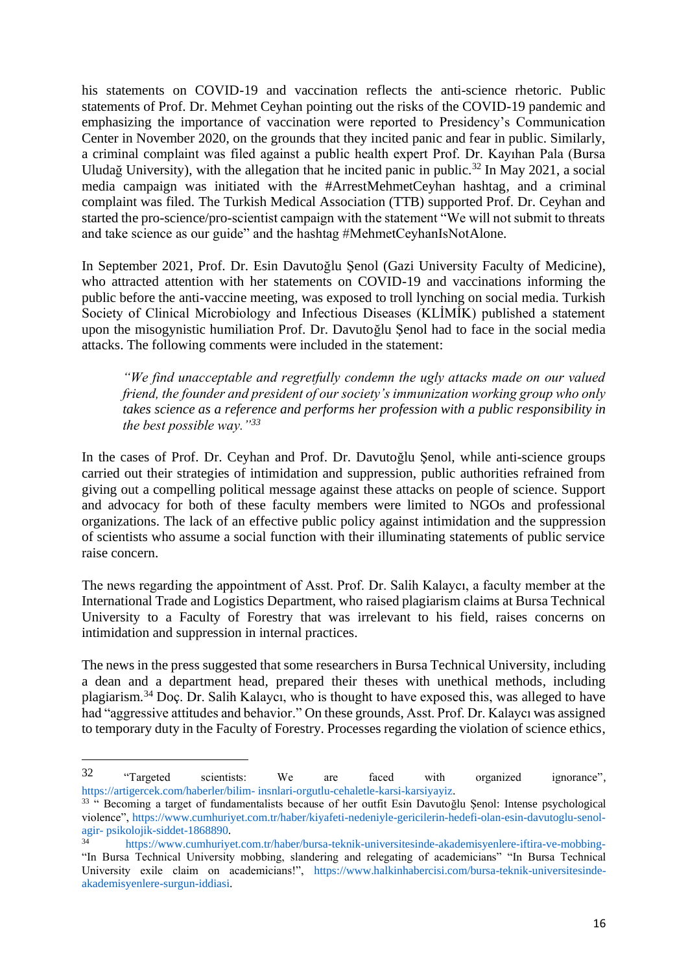his statements on COVID-19 and vaccination reflects the anti-science rhetoric. Public statements of Prof. Dr. Mehmet Ceyhan pointing out the risks of the COVID-19 pandemic and emphasizing the importance of vaccination were reported to Presidency's Communication Center in November 2020, on the grounds that they incited panic and fear in public. Similarly, a criminal complaint was filed against a public health expert Prof. Dr. Kayıhan Pala (Bursa Uludağ University), with the allegation that he incited panic in public.<sup>32</sup> In May 2021, a social media campaign was initiated with the #ArrestMehmetCeyhan hashtag, and a criminal complaint was filed. The Turkish Medical Association (TTB) supported Prof. Dr. Ceyhan and started the pro-science/pro-scientist campaign with the statement "We will not submit to threats and take science as our guide" and the hashtag #MehmetCeyhanIsNotAlone.

In September 2021, Prof. Dr. Esin Davutoğlu Şenol (Gazi University Faculty of Medicine), who attracted attention with her statements on COVID-19 and vaccinations informing the public before the anti-vaccine meeting, was exposed to troll lynching on social media. Turkish Society of Clinical Microbiology and Infectious Diseases (KLİMİK) published a statement upon the misogynistic humiliation Prof. Dr. Davutoğlu Şenol had to face in the social media attacks. The following comments were included in the statement:

*"We find unacceptable and regretfully condemn the ugly attacks made on our valued friend, the founder and president of our society's immunization working group who only takes science as a reference and performs her profession with a public responsibility in the best possible way."<sup>33</sup>*

In the cases of Prof. Dr. Ceyhan and Prof. Dr. Davutoğlu Şenol, while anti-science groups carried out their strategies of intimidation and suppression, public authorities refrained from giving out a compelling political message against these attacks on people of science. Support and advocacy for both of these faculty members were limited to NGOs and professional organizations. The lack of an effective public policy against intimidation and the suppression of scientists who assume a social function with their illuminating statements of public service raise concern.

The news regarding the appointment of Asst. Prof. Dr. Salih Kalaycı, a faculty member at the International Trade and Logistics Department, who raised plagiarism claims at Bursa Technical University to a Faculty of Forestry that was irrelevant to his field, raises concerns on intimidation and suppression in internal practices.

The news in the press suggested that some researchers in Bursa Technical University, including a dean and a department head, prepared their theses with unethical methods, including plagiarism.<sup>34</sup> Doç. Dr. Salih Kalaycı, who is thought to have exposed this, was alleged to have had "aggressive attitudes and behavior." On these grounds, Asst. Prof. Dr. Kalaycı was assigned to temporary duty in the Faculty of Forestry. Processes regarding the violation of science ethics,

 $32$  "Targeted scientists: We are faced with organized ignorance", https://artigercek.com/haberler/bilim- insnlari-orgutlu-cehaletle-karsi-karsiyayiz.

<sup>33</sup> " Becoming a target of fundamentalists because of her outfit Esin Davutoğlu Şenol: Intense psychological violence", https://www.cumhuriyet.com.tr/haber/kiyafeti-nedeniyle-gericilerin-hedefi-olan-esin-davutoglu-senolagir- psikolojik-siddet-1868890.

<sup>34</sup> https://www.cumhuriyet.com.tr/haber/bursa-teknik-universitesinde-akademisyenlere-iftira-ve-mobbing- "In Bursa Technical University mobbing, slandering and relegating of academicians" "In Bursa Technical University exile claim on academicians!", https://www.halkinhabercisi.com/bursa-teknik-universitesindeakademisyenlere-surgun-iddiasi.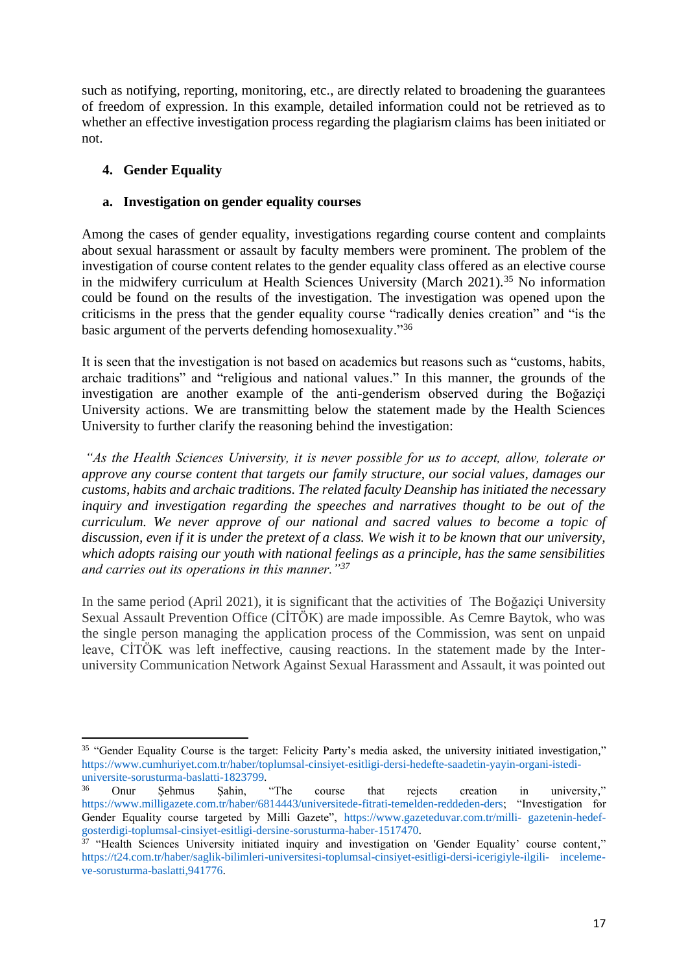such as notifying, reporting, monitoring, etc., are directly related to broadening the guarantees of freedom of expression. In this example, detailed information could not be retrieved as to whether an effective investigation process regarding the plagiarism claims has been initiated or not.

## **4. Gender Equality**

### **a. Investigation on gender equality courses**

Among the cases of gender equality, investigations regarding course content and complaints about sexual harassment or assault by faculty members were prominent. The problem of the investigation of course content relates to the gender equality class offered as an elective course in the midwifery curriculum at Health Sciences University (March 2021).<sup>35</sup> No information could be found on the results of the investigation. The investigation was opened upon the criticisms in the press that the gender equality course "radically denies creation" and "is the basic argument of the perverts defending homosexuality."<sup>36</sup>

It is seen that the investigation is not based on academics but reasons such as "customs, habits, archaic traditions" and "religious and national values." In this manner, the grounds of the investigation are another example of the anti-genderism observed during the Boğaziçi University actions. We are transmitting below the statement made by the Health Sciences University to further clarify the reasoning behind the investigation:

*"As the Health Sciences University, it is never possible for us to accept, allow, tolerate or approve any course content that targets our family structure, our social values, damages our customs, habits and archaic traditions. The related faculty Deanship has initiated the necessary inquiry and investigation regarding the speeches and narratives thought to be out of the curriculum. We never approve of our national and sacred values to become a topic of discussion, even if it is under the pretext of a class. We wish it to be known that our university, which adopts raising our youth with national feelings as a principle, has the same sensibilities and carries out its operations in this manner."<sup>37</sup>*

In the same period (April 2021), it is significant that the activities of The Boğaziçi University Sexual Assault Prevention Office (CİTÖK) are made impossible. As Cemre Baytok, who was the single person managing the application process of the Commission, was sent on unpaid leave, CİTÖK was left ineffective, causing reactions. In the statement made by the Interuniversity Communication Network Against Sexual Harassment and Assault, it was pointed out

<sup>&</sup>lt;sup>35</sup> "Gender Equality Course is the target: Felicity Party's media asked, the university initiated investigation," https://www.cumhuriyet.com.tr/haber/toplumsal-cinsiyet-esitligi-dersi-hedefte-saadetin-yayin-organi-istediuniversite-sorusturma-baslatti-1823799.

<sup>36</sup> Onur Şehmus Şahin, "The course that rejects creation in university," https://www.milligazete.com.tr/haber/6814443/universitede-fitrati-temelden-reddeden-ders; "Investigation for Gender Equality course targeted by Milli Gazete", https://www.gazeteduvar.com.tr/milli- gazetenin-hedefgosterdigi-toplumsal-cinsiyet-esitligi-dersine-sorusturma-haber-1517470.

<sup>&</sup>lt;sup>37</sup> "Health Sciences University initiated inquiry and investigation on 'Gender Equality' course content," https://t24.com.tr/haber/saglik-bilimleri-universitesi-toplumsal-cinsiyet-esitligi-dersi-icerigiyle-ilgili- incelemeve-sorusturma-baslatti,941776.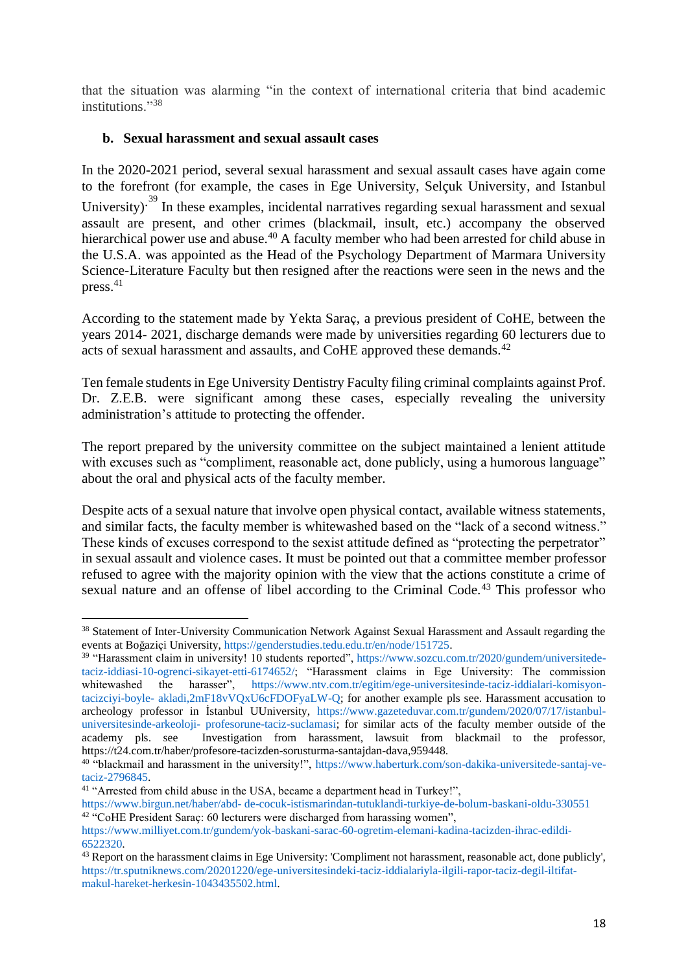that the situation was alarming "in the context of international criteria that bind academic institutions."38

### **b. Sexual harassment and sexual assault cases**

In the 2020-2021 period, several sexual harassment and sexual assault cases have again come to the forefront (for example, the cases in Ege University, Selçuk University, and Istanbul University)<sup>39</sup> In these examples, incidental narratives regarding sexual harassment and sexual assault are present, and other crimes (blackmail, insult, etc.) accompany the observed hierarchical power use and abuse.<sup>40</sup> A faculty member who had been arrested for child abuse in the U.S.A. was appointed as the Head of the Psychology Department of Marmara University Science-Literature Faculty but then resigned after the reactions were seen in the news and the press.<sup>41</sup>

According to the statement made by Yekta Saraç, a previous president of CoHE, between the years 2014- 2021, discharge demands were made by universities regarding 60 lecturers due to acts of sexual harassment and assaults, and CoHE approved these demands.<sup>42</sup>

Ten female students in Ege University Dentistry Faculty filing criminal complaints against Prof. Dr. Z.E.B. were significant among these cases, especially revealing the university administration's attitude to protecting the offender.

The report prepared by the university committee on the subject maintained a lenient attitude with excuses such as "compliment, reasonable act, done publicly, using a humorous language" about the oral and physical acts of the faculty member.

Despite acts of a sexual nature that involve open physical contact, available witness statements, and similar facts, the faculty member is whitewashed based on the "lack of a second witness." These kinds of excuses correspond to the sexist attitude defined as "protecting the perpetrator" in sexual assault and violence cases. It must be pointed out that a committee member professor refused to agree with the majority opinion with the view that the actions constitute a crime of sexual nature and an offense of libel according to the Criminal Code.<sup>43</sup> This professor who

<sup>38</sup> Statement of Inter-University Communication Network Against Sexual Harassment and Assault regarding the events at Boğaziçi University, https://genderstudies.tedu.edu.tr/en/node/151725.

<sup>&</sup>lt;sup>39</sup> "Harassment claim in university! 10 students reported", https://www.sozcu.com.tr/2020/gundem/universitedetaciz-iddiasi-10-ogrenci-sikayet-etti-6174652/; "Harassment claims in Ege University: The commission whitewashed the harasser", https://www.ntv.com.tr/egitim/ege-universitesinde-taciz-iddialari-komisyontacizciyi-boyle- akladi,2mF18vVQxU6cFDOFyaLW-Q; for another example pls see. Harassment accusation to archeology professor in İstanbul UUniversity, https://www.gazeteduvar.com.tr/gundem/2020/07/17/istanbuluniversitesinde-arkeoloji- profesorune-taciz-suclamasi; for similar acts of the faculty member outside of the academy pls. see Investigation from harassment, lawsuit from blackmail to the professor, https://t24.com.tr/haber/profesore-tacizden-sorusturma-santajdan-dava,959448.

<sup>40</sup> "blackmail and harassment in the university!", https://www.haberturk.com/son-dakika-universitede-santaj-vetaciz-2796845.

<sup>&</sup>lt;sup>41</sup> "Arrested from child abuse in the USA, became a department head in Turkey!",

https://www.birgun.net/haber/abd- de-cocuk-istismarindan-tutuklandi-turkiye-de-bolum-baskani-oldu-330551 <sup>42</sup> "CoHE President Saraç: 60 lecturers were discharged from harassing women",

https://www.milliyet.com.tr/gundem/yok-baskani-sarac-60-ogretim-elemani-kadina-tacizden-ihrac-edildi-6522320.

<sup>&</sup>lt;sup>43</sup> Report on the harassment claims in Ege University: 'Compliment not harassment, reasonable act, done publicly', https://tr.sputniknews.com/20201220/ege-universitesindeki-taciz-iddialariyla-ilgili-rapor-taciz-degil-iltifatmakul-hareket-herkesin-1043435502.html.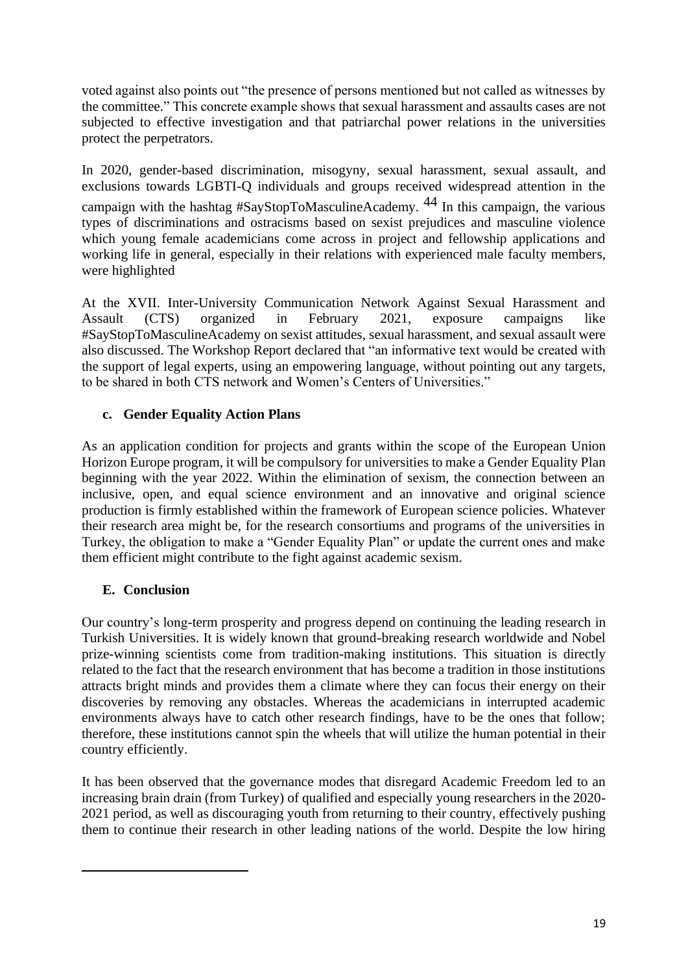voted against also points out "the presence of persons mentioned but not called as witnesses by the committee." This concrete example shows that sexual harassment and assaults cases are not subjected to effective investigation and that patriarchal power relations in the universities protect the perpetrators.

In 2020, gender-based discrimination, misogyny, sexual harassment, sexual assault, and exclusions towards LGBTI-Q individuals and groups received widespread attention in the campaign with the hashtag  $#SayStopToMasculineAcademy.$  In this campaign, the various types of discriminations and ostracisms based on sexist prejudices and masculine violence which young female academicians come across in project and fellowship applications and working life in general, especially in their relations with experienced male faculty members, were highlighted

At the XVII. Inter-University Communication Network Against Sexual Harassment and Assault (CTS) organized in February 2021, exposure campaigns like #SayStopToMasculineAcademy on sexist attitudes, sexual harassment, and sexual assault were also discussed. The Workshop Report declared that "an informative text would be created with the support of legal experts, using an empowering language, without pointing out any targets, to be shared in both CTS network and Women's Centers of Universities."

## **c. Gender Equality Action Plans**

As an application condition for projects and grants within the scope of the European Union Horizon Europe program, it will be compulsory for universities to make a Gender Equality Plan beginning with the year 2022. Within the elimination of sexism, the connection between an inclusive, open, and equal science environment and an innovative and original science production is firmly established within the framework of European science policies. Whatever their research area might be, for the research consortiums and programs of the universities in Turkey, the obligation to make a "Gender Equality Plan" or update the current ones and make them efficient might contribute to the fight against academic sexism.

# **E. Conclusion**

Our country's long-term prosperity and progress depend on continuing the leading research in Turkish Universities. It is widely known that ground-breaking research worldwide and Nobel prize-winning scientists come from tradition-making institutions. This situation is directly related to the fact that the research environment that has become a tradition in those institutions attracts bright minds and provides them a climate where they can focus their energy on their discoveries by removing any obstacles. Whereas the academicians in interrupted academic environments always have to catch other research findings, have to be the ones that follow; therefore, these institutions cannot spin the wheels that will utilize the human potential in their country efficiently.

It has been observed that the governance modes that disregard Academic Freedom led to an increasing brain drain (from Turkey) of qualified and especially young researchers in the 2020- 2021 period, as well as discouraging youth from returning to their country, effectively pushing them to continue their research in other leading nations of the world. Despite the low hiring